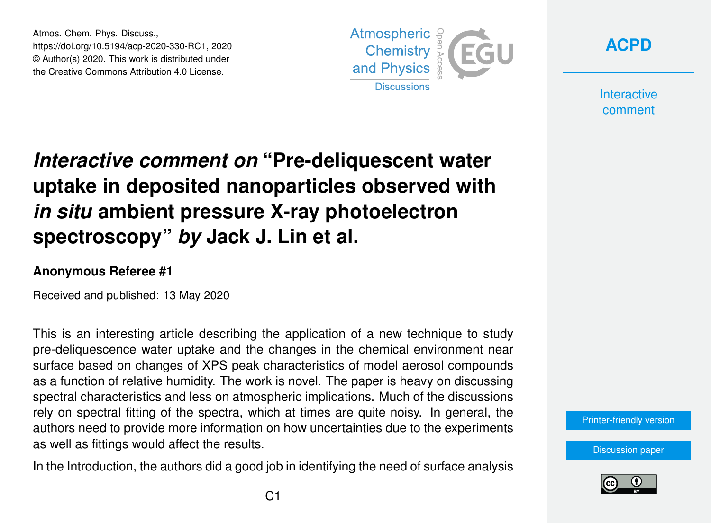Atmos. Chem. Phys. Discuss., https://doi.org/10.5194/acp-2020-330-RC1, 2020 © Author(s) 2020. This work is distributed under the Creative Commons Attribution 4.0 License.





**Interactive** comment

# *Interactive comment on* **"Pre-deliquescent water uptake in deposited nanoparticles observed with** *in situ* **ambient pressure X-ray photoelectron spectroscopy"** *by* **Jack J. Lin et al.**

#### **Anonymous Referee #1**

Received and published: 13 May 2020

This is an interesting article describing the application of a new technique to study pre-deliquescence water uptake and the changes in the chemical environment near surface based on changes of XPS peak characteristics of model aerosol compounds as a function of relative humidity. The work is novel. The paper is heavy on discussing spectral characteristics and less on atmospheric implications. Much of the discussions rely on spectral fitting of the spectra, which at times are quite noisy. In general, the authors need to provide more information on how uncertainties due to the experiments as well as fittings would affect the results.

In the Introduction, the authors did a good job in identifying the need of surface analysis

[Printer-friendly version](https://www.atmos-chem-phys-discuss.net/acp-2020-330/acp-2020-330-RC1-print.pdf)

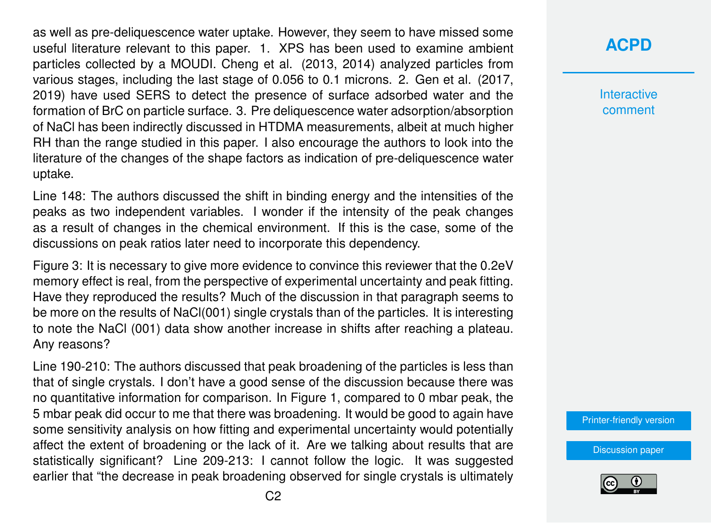as well as pre-deliquescence water uptake. However, they seem to have missed some useful literature relevant to this paper. 1. XPS has been used to examine ambient particles collected by a MOUDI. Cheng et al. (2013, 2014) analyzed particles from various stages, including the last stage of 0.056 to 0.1 microns. 2. Gen et al. (2017, 2019) have used SERS to detect the presence of surface adsorbed water and the formation of BrC on particle surface. 3. Pre deliquescence water adsorption/absorption of NaCl has been indirectly discussed in HTDMA measurements, albeit at much higher RH than the range studied in this paper. I also encourage the authors to look into the literature of the changes of the shape factors as indication of pre-deliquescence water uptake.

Line 148: The authors discussed the shift in binding energy and the intensities of the peaks as two independent variables. I wonder if the intensity of the peak changes as a result of changes in the chemical environment. If this is the case, some of the discussions on peak ratios later need to incorporate this dependency.

Figure 3: It is necessary to give more evidence to convince this reviewer that the 0.2eV memory effect is real, from the perspective of experimental uncertainty and peak fitting. Have they reproduced the results? Much of the discussion in that paragraph seems to be more on the results of NaCl(001) single crystals than of the particles. It is interesting to note the NaCl (001) data show another increase in shifts after reaching a plateau. Any reasons?

Line 190-210: The authors discussed that peak broadening of the particles is less than that of single crystals. I don't have a good sense of the discussion because there was no quantitative information for comparison. In Figure 1, compared to 0 mbar peak, the 5 mbar peak did occur to me that there was broadening. It would be good to again have some sensitivity analysis on how fitting and experimental uncertainty would potentially affect the extent of broadening or the lack of it. Are we talking about results that are statistically significant? Line 209-213: I cannot follow the logic. It was suggested earlier that "the decrease in peak broadening observed for single crystals is ultimately

#### **[ACPD](https://www.atmos-chem-phys-discuss.net/)**

**Interactive** comment

[Printer-friendly version](https://www.atmos-chem-phys-discuss.net/acp-2020-330/acp-2020-330-RC1-print.pdf)

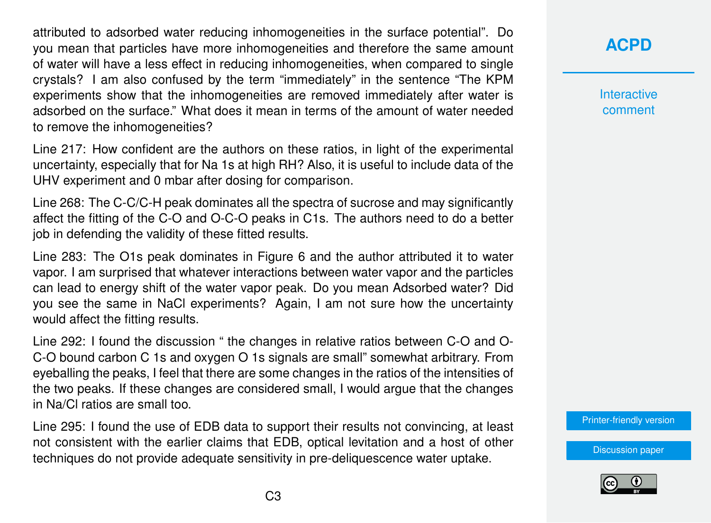attributed to adsorbed water reducing inhomogeneities in the surface potential". Do you mean that particles have more inhomogeneities and therefore the same amount of water will have a less effect in reducing inhomogeneities, when compared to single crystals? I am also confused by the term "immediately" in the sentence "The KPM experiments show that the inhomogeneities are removed immediately after water is adsorbed on the surface." What does it mean in terms of the amount of water needed to remove the inhomogeneities?

Line 217: How confident are the authors on these ratios, in light of the experimental uncertainty, especially that for Na 1s at high RH? Also, it is useful to include data of the UHV experiment and 0 mbar after dosing for comparison.

Line 268: The C-C/C-H peak dominates all the spectra of sucrose and may significantly affect the fitting of the C-O and O-C-O peaks in C1s. The authors need to do a better job in defending the validity of these fitted results.

Line 283: The O1s peak dominates in Figure 6 and the author attributed it to water vapor. I am surprised that whatever interactions between water vapor and the particles can lead to energy shift of the water vapor peak. Do you mean Adsorbed water? Did you see the same in NaCl experiments? Again, I am not sure how the uncertainty would affect the fitting results.

Line 292: I found the discussion " the changes in relative ratios between C-O and O-C-O bound carbon C 1s and oxygen O 1s signals are small" somewhat arbitrary. From eyeballing the peaks, I feel that there are some changes in the ratios of the intensities of the two peaks. If these changes are considered small, I would argue that the changes in Na/Cl ratios are small too.

Line 295: I found the use of EDB data to support their results not convincing, at least not consistent with the earlier claims that EDB, optical levitation and a host of other techniques do not provide adequate sensitivity in pre-deliquescence water uptake.

## **[ACPD](https://www.atmos-chem-phys-discuss.net/)**

**Interactive** comment

[Printer-friendly version](https://www.atmos-chem-phys-discuss.net/acp-2020-330/acp-2020-330-RC1-print.pdf)